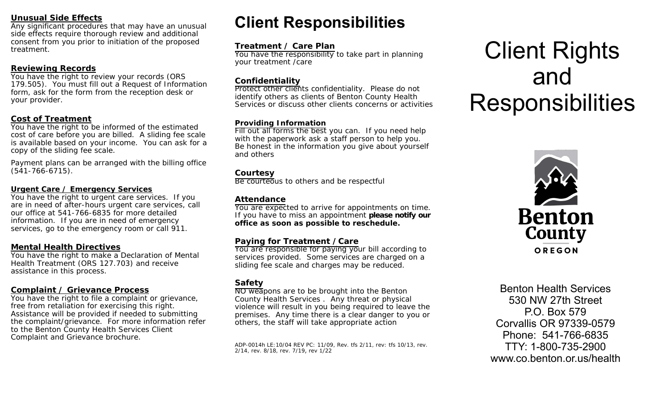#### **Unusual Side Effects**

Any significant procedures that may have an unusual side effects require thorough review and additional consent from you prior to initiation of the proposed treatment.

#### **Reviewing Records**

You have the right to review your records (ORS 179.505). You must fill out a Request of Information form, ask for the form from the reception desk or your provider.

#### **Cost of Treatment**

You have the right to be informed of the estimated cost of care before you are billed. A sliding fee scale is available based on your income. You can ask for a copy of the sliding fee scale.

Payment plans can be arranged with the billing office (541-766-6715).

#### **Urgent Care / Emergency Services**

You have the right to urgent care services. If you are in need of after-hours urgent care services, call our office at 541-766-6835 for more detailed information. If you are in need of emergency services, go to the emergency room or call 911.

#### **Mental Health Directives**

You have the right to make a Declaration of Mental Health Treatment (ORS 127.703) and receive assistance in this process.

#### **Complaint / Grievance Process**

You have the right to file a complaint or grievance, free from retaliation for exercising this right. Assistance will be provided if needed to submitting the complaint/grievance. For more information refer to the Benton County Health Services Client Complaint and Grievance brochure.

## **Client Responsibilities**

#### **Treatment / Care Plan**

You have the responsibility to take part in planning<br>veur treatment (eare your treatment /care

#### **Confidentiality**

 Protect other clients confidentiality. Please do not identify others as clients of Benton County Health Services or discuss other clients concerns or activities

#### **Providing Information**

 Fill out all forms the best you can. If you need help with the paperwork ask a staff person to help you. Be honest in the information you give about yourself and others

#### **Courtesy**

Be courteous to others and be respectful

#### **Attendance**

 You are expected to arrive for appointments on time. If you have to miss an appointment **please notify our office as soon as possible to reschedule.** 

#### **Paying for Treatment /Care**

You are responsible for paying your bill according to services provided. Some services are charged on a sliding fee scale and charges may be reduced.

#### **Safety**

NO weapons are to be brought into the Bentor County Health Services . Any threat or physical violence will result in you being required to leave the premises. Any time there is a clear danger to you or others, the staff will take appropriate action

ADP-0014h LE:10/04 REV PC: 11/09, Rev. tfs 2/11, rev: tfs 10/13, rev. 2/14, rev. 8/18, rev. 7/19, rev 1/22

# Client Rights and **Responsibilities**



Benton Health Services 530 NW 27th Street P.O. Box 579 Corvallis OR 97339-0579 Phone: 541-766-6835 TTY: 1-800-735-2900 www.co.benton.or.us/health